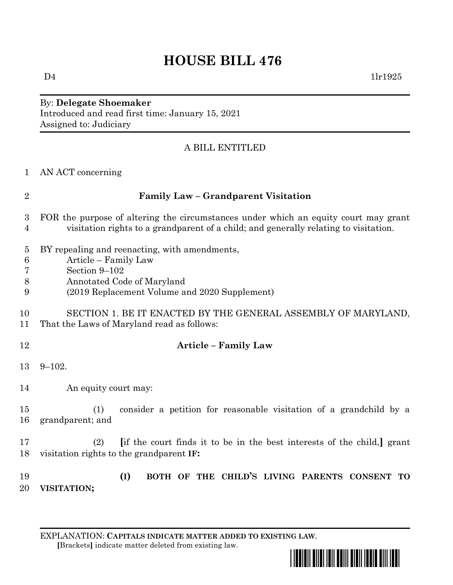## **HOUSE BILL 476**

 $D4$  1lr1925

By: **Delegate Shoemaker** Introduced and read first time: January 15, 2021 Assigned to: Judiciary

## A BILL ENTITLED

AN ACT concerning

| $\overline{2}$                     | <b>Family Law - Grandparent Visitation</b>                                                                                                                                  |  |  |
|------------------------------------|-----------------------------------------------------------------------------------------------------------------------------------------------------------------------------|--|--|
| 3<br>4                             | FOR the purpose of altering the circumstances under which an equity court may grant<br>visitation rights to a grandparent of a child; and generally relating to visitation. |  |  |
| $\overline{5}$<br>6<br>7<br>8<br>9 | BY repealing and reenacting, with amendments,<br>Article – Family Law<br>Section 9-102<br>Annotated Code of Maryland<br>(2019 Replacement Volume and 2020 Supplement)       |  |  |
| 10<br>11                           | SECTION 1. BE IT ENACTED BY THE GENERAL ASSEMBLY OF MARYLAND,<br>That the Laws of Maryland read as follows:                                                                 |  |  |
| 12                                 | <b>Article - Family Law</b>                                                                                                                                                 |  |  |
| 13                                 | $9 - 102.$                                                                                                                                                                  |  |  |
| 14                                 | An equity court may:                                                                                                                                                        |  |  |
| 15<br>16                           | consider a petition for reasonable visitation of a grandchild by a<br>(1)<br>grandparent; and                                                                               |  |  |
| 17<br>18                           | [if the court finds it to be in the best interests of the child,] grant<br>(2)<br>visitation rights to the grandparent IF:                                                  |  |  |
| 19<br>20                           | (I)<br>BOTH OF THE CHILD'S LIVING PARENTS CONSENT TO<br>VISITATION;                                                                                                         |  |  |

EXPLANATION: **CAPITALS INDICATE MATTER ADDED TO EXISTING LAW**.  **[**Brackets**]** indicate matter deleted from existing law.